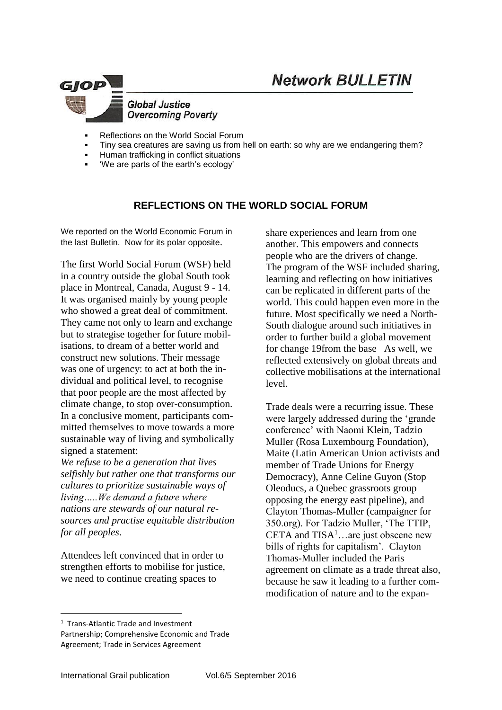

- Reflections on the World Social Forum
- Tiny sea creatures are saving us from hell on earth: so why are we endangering them?
- Human trafficking in conflict situations
- 'We are parts of the earth's ecology'

## **REFLECTIONS ON THE WORLD SOCIAL FORUM**

We reported on the World Economic Forum in the last Bulletin. Now for its polar opposite.

The first World Social Forum (WSF) held in a country outside the global South took place in Montreal, Canada, August 9 - 14. It was organised mainly by young people who showed a great deal of commitment. They came not only to learn and exchange but to strategise together for future mobilisations, to dream of a better world and construct new solutions. Their message was one of urgency: to act at both the individual and political level, to recognise that poor people are the most affected by climate change, to stop over-consumption. In a conclusive moment, participants committed themselves to move towards a more sustainable way of living and symbolically signed a statement:

*We refuse to be a generation that lives selfishly but rather one that transforms our cultures to prioritize sustainable ways of living…..We demand a future where nations are stewards of our natural resources and practise equitable distribution for all peoples*.

Attendees left convinced that in order to strengthen efforts to mobilise for justice, we need to continue creating spaces to

share experiences and learn from one another. This empowers and connects people who are the drivers of change. The program of the WSF included sharing, learning and reflecting on how initiatives can be replicated in different parts of the world. This could happen even more in the future. Most specifically we need a North-South dialogue around such initiatives in order to further build a global movement for change 19from the base As well, we reflected extensively on global threats and collective mobilisations at the international level.

Trade deals were a recurring issue. These were largely addressed during the 'grande conference' with Naomi Klein, Tadzio Muller (Rosa Luxembourg Foundation), Maite (Latin American Union activists and member of Trade Unions for Energy Democracy), Anne Celine Guyon (Stop Oleoducs, a Quebec grassroots group opposing the energy east pipeline), and Clayton Thomas-Muller (campaigner for 350.org). For Tadzio Muller, 'The TTIP, CETA and  $TISA<sup>1</sup>$ ... are just obscene new bills of rights for capitalism'. Clayton Thomas-Muller included the Paris agreement on climate as a trade threat also, because he saw it leading to a further commodification of nature and to the expan-

1

<sup>1</sup> Trans-Atlantic Trade and Investment Partnership; Comprehensive Economic and Trade Agreement; Trade in Services Agreement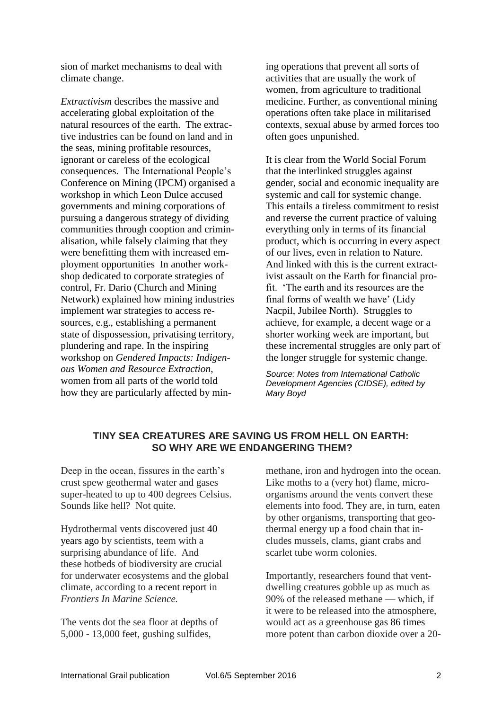sion of market mechanisms to deal with climate change.

*Extractivism* describes the massive and accelerating global exploitation of the natural resources of the earth. The extractive industries can be found on land and in the seas, mining profitable resources, ignorant or careless of the ecological consequences. The International People's Conference on Mining (IPCM) organised a workshop in which Leon Dulce accused governments and mining corporations of pursuing a dangerous strategy of dividing communities through cooption and criminalisation, while falsely claiming that they were benefitting them with increased employment opportunities In another workshop dedicated to corporate strategies of control, Fr. Dario (Church and Mining Network) explained how mining industries implement war strategies to access resources, e.g., establishing a permanent state of dispossession, privatising territory, plundering and rape. In the inspiring workshop on *Gendered Impacts: Indigenous Women and Resource Extraction*, women from all parts of the world told how they are particularly affected by mining operations that prevent all sorts of activities that are usually the work of women, from agriculture to traditional medicine. Further, as conventional mining operations often take place in militarised contexts, sexual abuse by armed forces too often goes unpunished.

It is clear from the World Social Forum that the interlinked struggles against gender, social and economic inequality are systemic and call for systemic change. This entails a tireless commitment to resist and reverse the current practice of valuing everything only in terms of its financial product, which is occurring in every aspect of our lives, even in relation to Nature. And linked with this is the current extractivist assault on the Earth for financial profit. 'The earth and its resources are the final forms of wealth we have' (Lidy Nacpil, Jubilee North). Struggles to achieve, for example, a decent wage or a shorter working week are important, but these incremental struggles are only part of the longer struggle for systemic change.

*Source: Notes from International Catholic Development Agencies (CIDSE), edited by Mary Boyd* 

## **TINY SEA CREATURES ARE SAVING US FROM HELL ON EARTH: SO WHY ARE WE ENDANGERING THEM?**

Deep in the ocean, fissures in the earth's crust spew geothermal water and gases super-heated to up to 400 degrees Celsius. Sounds like hell? Not quite.

Hydrothermal vents discovered just [40](http://oceanservice.noaa.gov/facts/vents.html)  [years ago](http://oceanservice.noaa.gov/facts/vents.html) by scientists, teem with a surprising abundance of life. And these hotbeds of biodiversity are crucial for underwater ecosystems and the global climate, according to [a recent report](http://journal.frontiersin.org/article/10.3389/fmars.2016.00072/full) in *Frontiers In Marine Science.*

The vents dot the sea floor at [depths](http://www.mesa.edu.au/deep_sea/hydrothermal_vents.asp) of 5,000 - 13,000 feet, gushing sulfides,

methane, iron and hydrogen into the ocean. Like moths to a (very hot) flame, microorganisms around the vents convert these elements into food. They are, in turn, eaten by other organisms, transporting that geothermal energy up a food chain that includes mussels, clams, giant crabs and scarlet tube worm colonies.

Importantly, researchers found that ventdwelling creatures gobble up as much as 90% of the released methane — which, if it were to be released into the atmosphere, would act as a greenhouse gas [86 times](http://thinkprogress.org/climate/2013/10/02/2708911/fracking-ipcc-methane/) more potent than carbon dioxide over a 20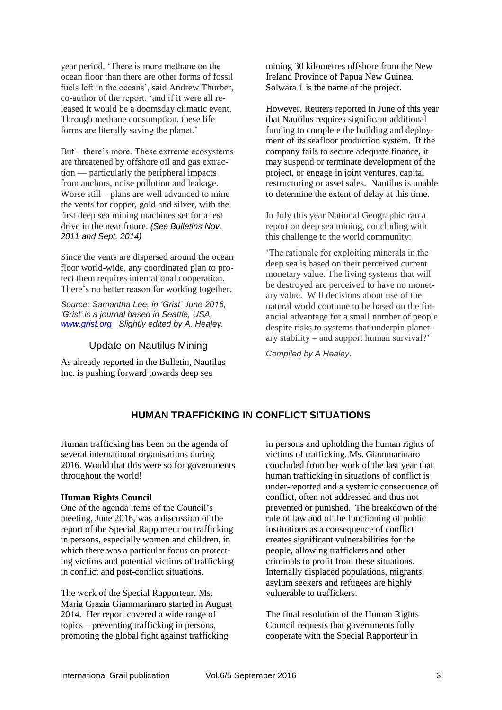year period. 'There is more methane on the ocean floor than there are other forms of fossil fuels left in the oceans', [said](https://www.sciencedaily.com/releases/2016/05/160531143217.htm) Andrew Thurber, co-author of the report, 'and if it were all released it would be a doomsday climatic event. Through methane consumption, these life forms are literally saving the planet.'

But – there's more. These extreme ecosystems are threatened by offshore oil and gas extraction — particularly the peripheral impacts from anchors, noise pollution and leakage. Worse still – plans are well advanced to mine the vents for copper, gold and silver, with the first deep sea mining machines set for a test drive in the [near future.](http://spectrum.ieee.org/robotics/industrial-robots/seabedmining-robots-will-dig-for-gold-in-hydrothermal-vents) *(See Bulletins Nov. 2011 and Sept. 2014)*

Since the vents are dispersed around the ocean floor world-wide, any coordinated plan to protect them requires international cooperation. There's no better reason for working together.

*Source: Samantha Lee, in 'Grist' June 2016, 'Grist' is a journal based in Seattle, USA, [www.grist.org](http://www.grist.org/) Slightly edited by A. Healey.*

#### Update on Nautilus Mining

As already reported in the Bulletin, Nautilus Inc. is pushing forward towards deep sea

mining 30 kilometres offshore from the New Ireland Province of Papua New Guinea. Solwara 1 is the name of the project.

However, Reuters reported in June of this year that Nautilus requires significant additional funding to complete the building and deployment of its seafloor production system. If the company fails to secure adequate finance, it may suspend or terminate development of the project, or engage in joint ventures, capital restructuring or asset sales. Nautilus is unable to determine the extent of delay at this time.

In July this year National Geographic ran a report on deep sea mining, concluding with this challenge to the world community:

'The rationale for exploiting minerals in the deep sea is based on their perceived current monetary value. The living systems that will be destroyed are perceived to have no monetary value. Will decisions about use of the natural world continue to be based on the financial advantage for a small number of people despite risks to systems that underpin planetary stability – and support human survival?'

*Compiled by A Healey*.

# **HUMAN TRAFFICKING IN CONFLICT SITUATIONS**

Human trafficking has been on the agenda of several international organisations during 2016. Would that this were so for governments throughout the world!

#### **Human Rights Council**

One of the agenda items of the Council's meeting, June 2016, was a discussion of the report of the Special Rapporteur on trafficking in persons, especially women and children, in which there was a particular focus on protecting victims and potential victims of trafficking in conflict and post-conflict situations.

The work of the Special Rapporteur, Ms. Maria Grazia Giammarinaro started in August 2014. Her report covered a wide range of topics – preventing trafficking in persons, promoting the global fight against trafficking

in persons and upholding the human rights of victims of trafficking. Ms. Giammarinaro concluded from her work of the last year that human trafficking in situations of conflict is under-reported and a systemic consequence of conflict, often not addressed and thus not prevented or punished. The breakdown of the rule of law and of the functioning of public institutions as a consequence of conflict creates significant vulnerabilities for the people, allowing traffickers and other criminals to profit from these situations. Internally displaced populations, migrants, asylum seekers and refugees are highly vulnerable to traffickers.

The final resolution of the Human Rights Council requests that governments fully cooperate with the Special Rapporteur in